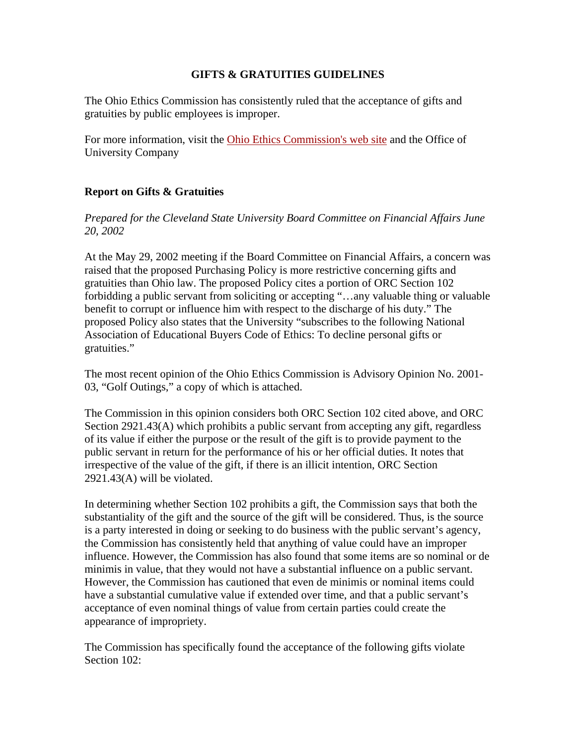## **GIFTS & GRATUITIES GUIDELINES**

The Ohio Ethics Commission has consistently ruled that the acceptance of gifts and gratuities by public employees is improper.

For more information, visit the Ohio Ethics Commission's web site and the Office of University Company

## **Report on Gifts & Gratuities**

*Prepared for the Cleveland State University Board Committee on Financial Affairs June 20, 2002* 

At the May 29, 2002 meeting if the Board Committee on Financial Affairs, a concern was raised that the proposed Purchasing Policy is more restrictive concerning gifts and gratuities than Ohio law. The proposed Policy cites a portion of ORC Section 102 forbidding a public servant from soliciting or accepting "…any valuable thing or valuable benefit to corrupt or influence him with respect to the discharge of his duty." The proposed Policy also states that the University "subscribes to the following National Association of Educational Buyers Code of Ethics: To decline personal gifts or gratuities."

The most recent opinion of the Ohio Ethics Commission is Advisory Opinion No. 2001- 03, "Golf Outings," a copy of which is attached.

The Commission in this opinion considers both ORC Section 102 cited above, and ORC Section 2921.43(A) which prohibits a public servant from accepting any gift, regardless of its value if either the purpose or the result of the gift is to provide payment to the public servant in return for the performance of his or her official duties. It notes that irrespective of the value of the gift, if there is an illicit intention, ORC Section 2921.43(A) will be violated.

In determining whether Section 102 prohibits a gift, the Commission says that both the substantiality of the gift and the source of the gift will be considered. Thus, is the source is a party interested in doing or seeking to do business with the public servant's agency, the Commission has consistently held that anything of value could have an improper influence. However, the Commission has also found that some items are so nominal or de minimis in value, that they would not have a substantial influence on a public servant. However, the Commission has cautioned that even de minimis or nominal items could have a substantial cumulative value if extended over time, and that a public servant's acceptance of even nominal things of value from certain parties could create the appearance of impropriety.

The Commission has specifically found the acceptance of the following gifts violate Section 102: